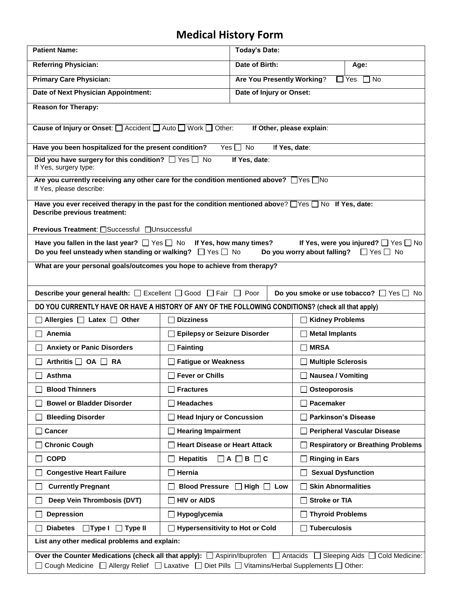## **Medical History Form**

| <b>Patient Name:</b>                                                                                                                                                                                                                                                                                         | <b>Today's Date:</b>                   |                            |                                    |                                          |  |
|--------------------------------------------------------------------------------------------------------------------------------------------------------------------------------------------------------------------------------------------------------------------------------------------------------------|----------------------------------------|----------------------------|------------------------------------|------------------------------------------|--|
| <b>Referring Physician:</b><br>Date of Birth:                                                                                                                                                                                                                                                                |                                        |                            | Age:                               |                                          |  |
| <b>Primary Care Physician:</b>                                                                                                                                                                                                                                                                               | Are You Presently Working?             |                            |                                    | $\Box$ Yes $\Box$ No                     |  |
| Date of Next Physician Appointment:<br>Date of Injury or Onset:                                                                                                                                                                                                                                              |                                        |                            |                                    |                                          |  |
| <b>Reason for Therapy:</b>                                                                                                                                                                                                                                                                                   |                                        |                            |                                    |                                          |  |
| Cause of Injury or Onset: □ Accident □ Auto □ Work □ Other:<br>If Other, please explain:                                                                                                                                                                                                                     |                                        |                            |                                    |                                          |  |
| Have you been hospitalized for the present condition?<br>If Yes, date:<br>Yes $\Box$ No                                                                                                                                                                                                                      |                                        |                            |                                    |                                          |  |
| Did you have surgery for this condition? $\Box$ Yes $\Box$ No<br>If Yes, surgery type:                                                                                                                                                                                                                       |                                        | If Yes, date:              |                                    |                                          |  |
| Are you currently receiving any other care for the condition mentioned above? $\Box$ Yes $\Box$ No<br>If Yes, please describe:                                                                                                                                                                               |                                        |                            |                                    |                                          |  |
| Have you ever received therapy in the past for the condition mentioned above? $\Box$ Yes $\Box$ No If Yes, date:<br><b>Describe previous treatment:</b>                                                                                                                                                      |                                        |                            |                                    |                                          |  |
|                                                                                                                                                                                                                                                                                                              |                                        |                            |                                    |                                          |  |
| Previous Treatment: □Successful □Unsuccessful<br>Have you fallen in the last year? $\Box$ Yes $\Box$ No If Yes, how many times?<br>If Yes, were you injured? $\Box$ Yes $\Box$ No<br>Do you feel unsteady when standing or walking? $\Box$ Yes $\Box$ No<br>Do you worry about falling? $\Box$ Yes $\Box$ No |                                        |                            |                                    |                                          |  |
| What are your personal goals/outcomes you hope to achieve from therapy?                                                                                                                                                                                                                                      |                                        |                            |                                    |                                          |  |
| <b>Describe your general health:</b> □ Excellent □ Good □ Fair □ Poor<br>Do you smoke or use tobacco? $\Box$ Yes $\Box$ No                                                                                                                                                                                   |                                        |                            |                                    |                                          |  |
| DO YOU CURRENTLY HAVE OR HAVE A HISTORY OF ANY OF THE FOLLOWING CONDITIONS? (check all that apply)                                                                                                                                                                                                           |                                        |                            |                                    |                                          |  |
| $\Box$ Allergies $\Box$ Latex $\Box$ Other                                                                                                                                                                                                                                                                   | <b>Dizziness</b>                       |                            | □ Kidney Problems                  |                                          |  |
| Anemia                                                                                                                                                                                                                                                                                                       | <b>Epilepsy or Seizure Disorder</b>    |                            | <b>Metal Implants</b>              |                                          |  |
| <b>Anxiety or Panic Disorders</b>                                                                                                                                                                                                                                                                            | $\Box$ Fainting                        |                            | $\Box$ MRSA                        |                                          |  |
| Arthritis $\Box$ OA $\Box$ RA                                                                                                                                                                                                                                                                                | <b>Fatigue or Weakness</b>             |                            | <b>Multiple Sclerosis</b>          |                                          |  |
| Asthma                                                                                                                                                                                                                                                                                                       | <b>Fever or Chills</b>                 |                            | □ Nausea / Vomiting                |                                          |  |
| <b>Blood Thinners</b>                                                                                                                                                                                                                                                                                        | <b>Fractures</b>                       |                            | Osteoporosis                       |                                          |  |
| <b>Bowel or Bladder Disorder</b>                                                                                                                                                                                                                                                                             | <b>Headaches</b>                       |                            | Pacemaker                          |                                          |  |
| <b>Bleeding Disorder</b>                                                                                                                                                                                                                                                                                     | <b>Head Injury or Concussion</b>       |                            | <b>Parkinson's Disease</b>         |                                          |  |
| <b>Cancer</b>                                                                                                                                                                                                                                                                                                | <b>Hearing Impairment</b>              |                            | <b>Peripheral Vascular Disease</b> |                                          |  |
| <b>Chronic Cough</b>                                                                                                                                                                                                                                                                                         | <b>Heart Disease or Heart Attack</b>   |                            |                                    | <b>Respiratory or Breathing Problems</b> |  |
| <b>COPD</b>                                                                                                                                                                                                                                                                                                  | <b>Hepatitis</b>                       | $\Box$ A $\Box$ B $\Box$ C | <b>Ringing in Ears</b>             |                                          |  |
| <b>Congestive Heart Failure</b>                                                                                                                                                                                                                                                                              | Hernia                                 |                            | <b>Sexual Dysfunction</b>          |                                          |  |
| <b>Currently Pregnant</b><br>$\blacksquare$                                                                                                                                                                                                                                                                  | <b>Blood Pressure</b>                  | $\Box$ High $\Box$ Low     | <b>Skin Abnormalities</b>          |                                          |  |
| Deep Vein Thrombosis (DVT)                                                                                                                                                                                                                                                                                   | <b>HIV or AIDS</b>                     |                            | <b>Stroke or TIA</b>               |                                          |  |
| <b>Depression</b>                                                                                                                                                                                                                                                                                            | Hypoglycemia                           |                            | <b>Thyroid Problems</b>            |                                          |  |
| <b>Diabetes</b><br>$\Box$ Type I<br>$\Box$ Type II                                                                                                                                                                                                                                                           | <b>Hypersensitivity to Hot or Cold</b> |                            | <b>Tuberculosis</b>                |                                          |  |
| List any other medical problems and explain:                                                                                                                                                                                                                                                                 |                                        |                            |                                    |                                          |  |
| Over the Counter Medications (check all that apply): □ Aspirin/Ibuprofen □ Antacids □ Sleeping Aids □<br>Cold Medicine:<br>□ Cough Medicine □ Allergy Relief □ Laxative □ Diet Pills □ Vitamins/Herbal Supplements □ Other:                                                                                  |                                        |                            |                                    |                                          |  |